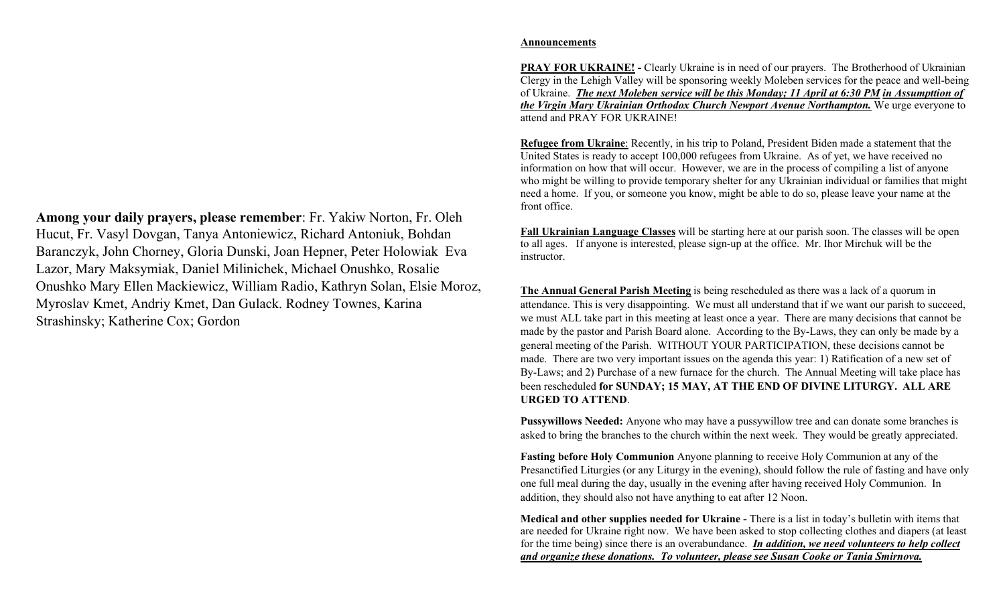Among your daily prayers, please remember: Fr. Yakiw Norton, Fr. Oleh Hucut, Fr. Vasyl Dovgan, Tanya Antoniewicz, Richard Antoniuk, Bohdan Baranczyk, John Chorney, Gloria Dunski, Joan Hepner, Peter Holowiak Eva Lazor, Mary Maksymiak, Daniel Milinichek, Michael Onushko, Rosalie Onushko Mary Ellen Mackiewicz, William Radio, Kathryn Solan, Elsie Moroz, Myroslav Kmet, Andriy Kmet, Dan Gulack. Rodney Townes, Karina Strashinsky; Katherine Cox; Gordon

## Announcements

PRAY FOR UKRAINE! - Clearly Ukraine is in need of our prayers. The Brotherhood of Ukrainian Clergy in the Lehigh Valley will be sponsoring weekly Moleben services for the peace and well-being of Ukraine. The next Moleben service will be this Monday; 11 April at 6:30 PM in Assumpttion of the Virgin Mary Ukrainian Orthodox Church Newport Avenue Northampton. We urge everyone to attend and PRAY FOR UKRAINE!

Refugee from Ukraine: Recently, in his trip to Poland, President Biden made a statement that the United States is ready to accept 100,000 refugees from Ukraine. As of yet, we have received no information on how that will occur. However, we are in the process of compiling a list of anyone who might be willing to provide temporary shelter for any Ukrainian individual or families that might need a home. If you, or someone you know, might be able to do so, please leave your name at the front office.

Fall Ukrainian Language Classes will be starting here at our parish soon. The classes will be open to all ages. If anyone is interested, please sign-up at the office. Mr. Ihor Mirchuk will be the instructor.

The Annual General Parish Meeting is being rescheduled as there was a lack of a quorum in attendance. This is very disappointing. We must all understand that if we want our parish to succeed, we must ALL take part in this meeting at least once a year. There are many decisions that cannot be made by the pastor and Parish Board alone. According to the By-Laws, they can only be made by a general meeting of the Parish. WITHOUT YOUR PARTICIPATION, these decisions cannot be made. There are two very important issues on the agenda this year: 1) Ratification of a new set of By-Laws; and 2) Purchase of a new furnace for the church. The Annual Meeting will take place has been rescheduled for SUNDAY; 15 MAY, AT THE END OF DIVINE LITURGY. ALL ARE URGED TO ATTEND.

Pussywillows Needed: Anyone who may have a pussywillow tree and can donate some branches is asked to bring the branches to the church within the next week. They would be greatly appreciated.

Fasting before Holy Communion Anyone planning to receive Holy Communion at any of the Presanctified Liturgies (or any Liturgy in the evening), should follow the rule of fasting and have only one full meal during the day, usually in the evening after having received Holy Communion. In addition, they should also not have anything to eat after 12 Noon.

Medical and other supplies needed for Ukraine - There is a list in today's bulletin with items that are needed for Ukraine right now. We have been asked to stop collecting clothes and diapers (at least for the time being) since there is an overabundance. In addition, we need volunteers to help collect and organize these donations. To volunteer, please see Susan Cooke or Tania Smirnova.